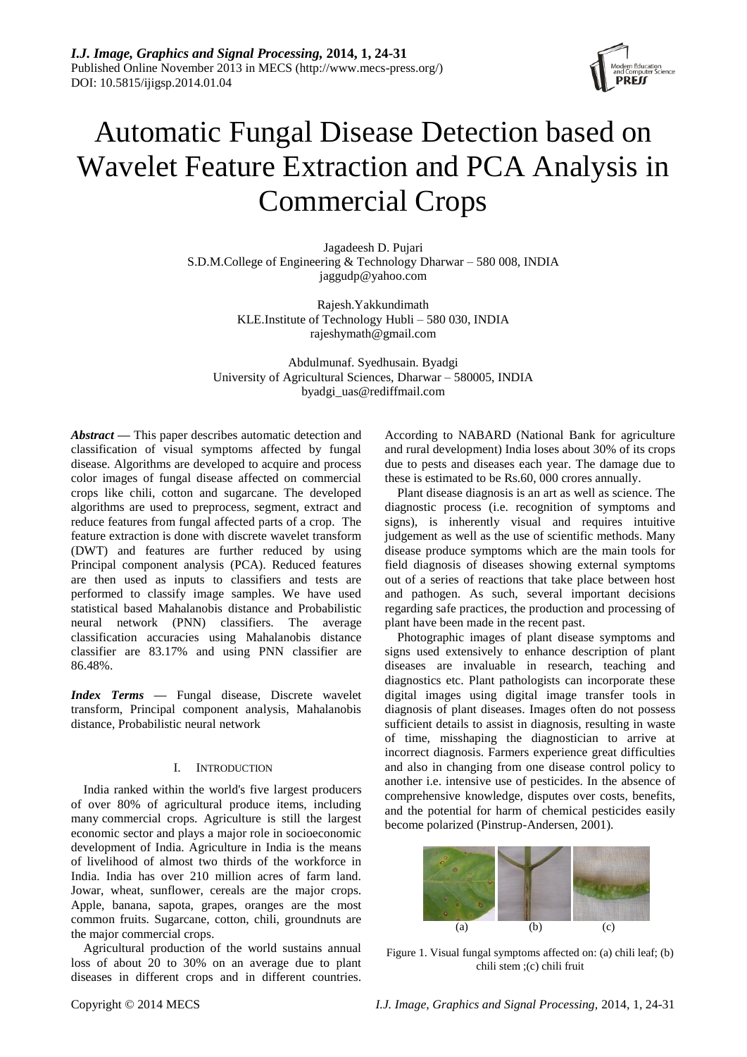

# Automatic Fungal Disease Detection based on Wavelet Feature Extraction and PCA Analysis in Commercial Crops

Jagadeesh D. Pujari S.D.M.College of Engineering & Technology Dharwar – 580 008, INDIA jaggudp@yahoo.com

> Rajesh.Yakkundimath KLE.Institute of Technology Hubli – 580 030, INDIA [rajeshymath@gmail.com](mailto:rajeshymath@gmail.com)

Abdulmunaf. Syedhusain. Byadgi University of Agricultural Sciences, Dharwar – 580005, INDIA byadgi\_uas@rediffmail.com

*Abstract —* This paper describes automatic detection and classification of visual symptoms affected by fungal disease. Algorithms are developed to acquire and process color images of fungal disease affected on commercial crops like chili, cotton and sugarcane. The developed algorithms are used to preprocess, segment, extract and reduce features from fungal affected parts of a crop. The feature extraction is done with discrete wavelet transform (DWT) and features are further reduced by using Principal component analysis (PCA). Reduced features are then used as inputs to classifiers and tests are performed to classify image samples. We have used statistical based Mahalanobis distance and Probabilistic neural network (PNN) classifiers. The average classification accuracies using Mahalanobis distance classifier are 83.17% and using PNN classifier are 86.48%.

*Index Terms —* Fungal disease, Discrete wavelet transform, Principal component analysis, Mahalanobis distance, Probabilistic neural network

# I. INTRODUCTION

India ranked within the world's five largest producers of over 80% of agricultural produce items, including many commercial crops. Agriculture is still the largest economic sector and plays a major role in socioeconomic development of India. Agriculture in India is the means of livelihood of almost two thirds of the workforce in India. India has over 210 million acres of farm land. Jowar, wheat, sunflower, cereals are the major crops. Apple, banana, sapota, grapes, oranges are the most common fruits. Sugarcane, cotton, chili, groundnuts are the major commercial crops.

Agricultural production of the world sustains annual loss of about 20 to 30% on an average due to plant diseases in different crops and in different countries.

According to NABARD (National Bank for agriculture and rural development) India loses about 30% of its crops due to pests and diseases each year. The damage due to these is estimated to be Rs.60, 000 crores annually.

Plant disease diagnosis is an art as well as science. The diagnostic process (i.e. recognition of symptoms and signs), is inherently visual and requires intuitive judgement as well as the use of scientific methods. Many disease produce symptoms which are the main tools for field diagnosis of diseases showing external symptoms out of a series of reactions that take place between host and pathogen. As such, several important decisions regarding safe practices, the production and processing of plant have been made in the recent past.

Photographic images of plant disease symptoms and signs used extensively to enhance description of plant diseases are invaluable in research, teaching and diagnostics etc. Plant pathologists can incorporate these digital images using digital image transfer tools in diagnosis of plant diseases. Images often do not possess sufficient details to assist in diagnosis, resulting in waste of time, misshaping the diagnostician to arrive at incorrect diagnosis. Farmers experience great difficulties and also in changing from one disease control policy to another i.e. intensive use of pesticides. In the absence of comprehensive knowledge, disputes over costs, benefits, and the potential for harm of chemical pesticides easily become polarized (Pinstrup-Andersen, 2001).



Figure 1. Visual fungal symptoms affected on: (a) chili leaf; (b) chili stem ;(c) chili fruit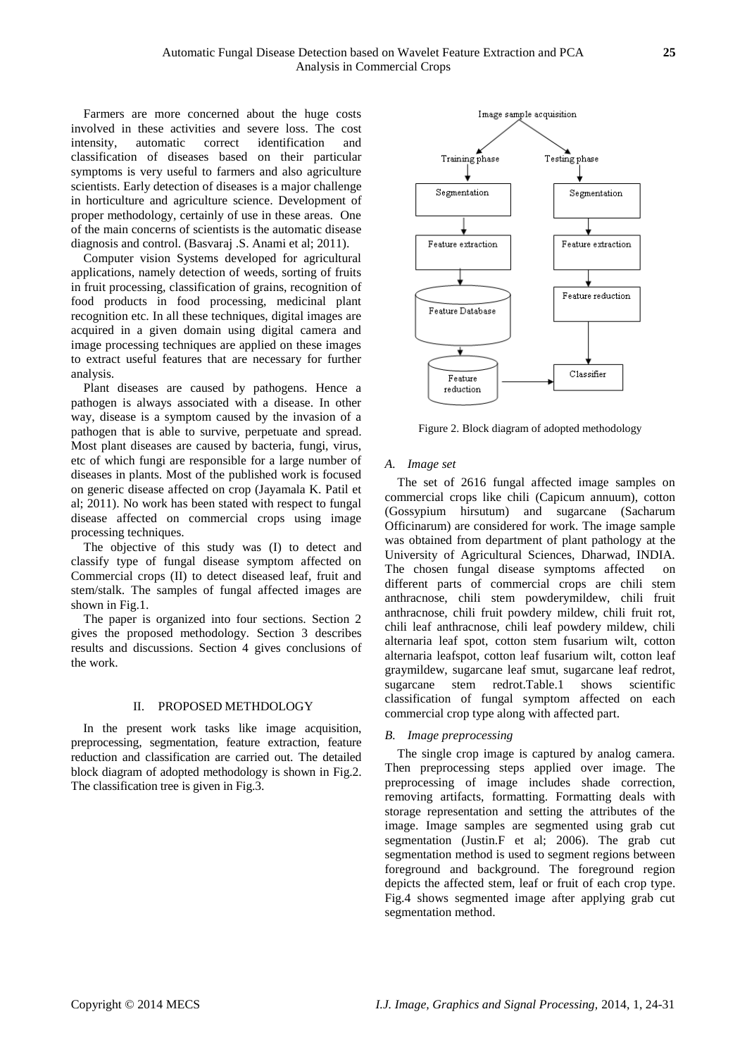Farmers are more concerned about the huge costs involved in these activities and severe loss. The cost intensity, automatic correct identification and classification of diseases based on their particular symptoms is very useful to farmers and also agriculture scientists. Early detection of diseases is a major challenge in horticulture and agriculture science. Development of proper methodology, certainly of use in these areas. One of the main concerns of scientists is the automatic disease diagnosis and control. (Basvaraj .S. Anami et al; 2011).

Computer vision Systems developed for agricultural applications, namely detection of weeds, sorting of fruits in fruit processing, classification of grains, recognition of food products in food processing, medicinal plant recognition etc. In all these techniques, digital images are acquired in a given domain using digital camera and image processing techniques are applied on these images to extract useful features that are necessary for further analysis.

Plant diseases are caused by pathogens. Hence a pathogen is always associated with a disease. In other way, disease is a symptom caused by the invasion of a pathogen that is able to survive, perpetuate and spread. Most plant diseases are caused by bacteria, fungi, virus, etc of which fungi are responsible for a large number of diseases in plants. Most of the published work is focused on generic disease affected on crop (Jayamala K. Patil et al; 2011). No work has been stated with respect to fungal disease affected on commercial crops using image processing techniques.

The objective of this study was (I) to detect and classify type of fungal disease symptom affected on Commercial crops (II) to detect diseased leaf, fruit and stem/stalk. The samples of fungal affected images are shown in Fig.1.

The paper is organized into four sections. Section 2 gives the proposed methodology. Section 3 describes results and discussions. Section 4 gives conclusions of the work.

## II. PROPOSED METHDOLOGY

In the present work tasks like image acquisition, preprocessing, segmentation, feature extraction, feature reduction and classification are carried out. The detailed block diagram of adopted methodology is shown in Fig.2. The classification tree is given in Fig.3.



Figure 2. Block diagram of adopted methodology

## *A. Image set*

The set of 2616 fungal affected image samples on commercial crops like chili (Capicum annuum), cotton (Gossypium hirsutum) and sugarcane (Sacharum Officinarum) are considered for work. The image sample was obtained from department of plant pathology at the University of Agricultural Sciences, Dharwad, INDIA. The chosen fungal disease symptoms affected on different parts of commercial crops are chili stem anthracnose, chili stem powderymildew, chili fruit anthracnose, chili fruit powdery mildew, chili fruit rot, chili leaf anthracnose, chili leaf powdery mildew, chili alternaria leaf spot, cotton stem fusarium wilt, cotton alternaria leafspot, cotton leaf fusarium wilt, cotton leaf graymildew, sugarcane leaf smut, sugarcane leaf redrot, sugarcane stem redrot.Table.1 shows scientific classification of fungal symptom affected on each commercial crop type along with affected part.

## *B. Image preprocessing*

The single crop image is captured by analog camera. Then preprocessing steps applied over image. The preprocessing of image includes shade correction, removing artifacts, formatting. Formatting deals with storage representation and setting the attributes of the image. Image samples are segmented using grab cut segmentation (Justin.F et al; 2006). The grab cut segmentation method is used to segment regions between foreground and background. The foreground region depicts the affected stem, leaf or fruit of each crop type. Fig.4 shows segmented image after applying grab cut segmentation method.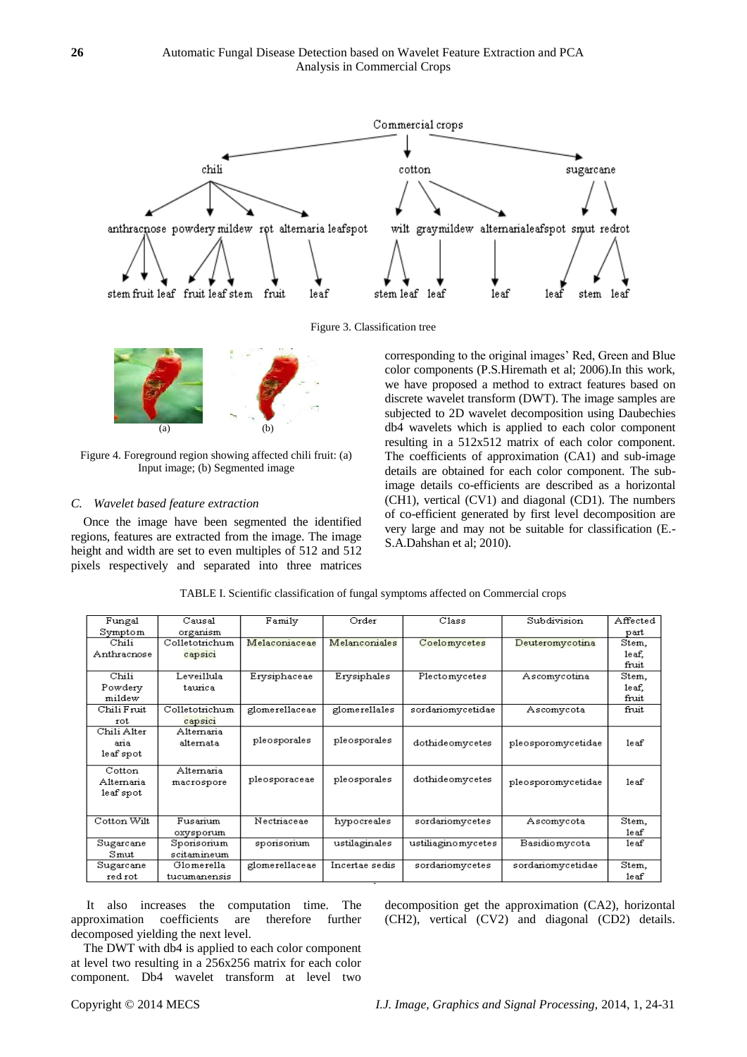

Figure 3. Classification tree



Figure 4. Foreground region showing affected chili fruit: (a) Input image; (b) Segmented image

## *C. Wavelet based feature extraction*

Once the image have been segmented the identified regions, features are extracted from the image. The image height and width are set to even multiples of 512 and 512 pixels respectively and separated into three matrices

corresponding to the original images" Red, Green and Blue color components (P.S.Hiremath et al; 2006).In this work, we have proposed a method to extract features based on discrete wavelet transform (DWT). The image samples are subjected to 2D wavelet decomposition using Daubechies db4 wavelets which is applied to each color component resulting in a 512x512 matrix of each color component. The coefficients of approximation (CA1) and sub-image details are obtained for each color component. The subimage details co-efficients are described as a horizontal (CH1), vertical (CV1) and diagonal (CD1). The numbers of co-efficient generated by first level decomposition are very large and may not be suitable for classification (E.- S.A.Dahshan et al; 2010).

| Fungal      | Causal         | Family         | Order          | Class              | Subdivision        | Affected |
|-------------|----------------|----------------|----------------|--------------------|--------------------|----------|
| Symptom     | organism       |                |                |                    |                    | part     |
| Chili       | Colletotrichum | Melaconiaceae  | Melanconiales  | Coelomycetes       | Deuteromycotina    | Stem,    |
| Anthracnose | capsici        |                |                |                    |                    | leaf.    |
|             |                |                |                |                    |                    | fruit    |
| Chili       | Leveillula     | Erysiphaceae   | Erysiphales    | Plectomycetes      | Ascomycotina       | Stem,    |
| Powdery     | taurica        |                |                |                    |                    | leaf,    |
| mildew      |                |                |                |                    |                    | fruit    |
| Chili Fruit | Colletotrichum | glomerellaceae | glomerellales  | sordariomycetidae  | Ascomycota         | fruit    |
| rot         | capsici        |                |                |                    |                    |          |
| Chili Alter | Alternaria     |                |                |                    |                    |          |
| aria        | alternata      | pleosporales   | pleosporales   | dothideomycetes    | pleosporomycetidae | leaf     |
| leaf spot   |                |                |                |                    |                    |          |
| Cotton      | Alternaria     |                |                |                    |                    |          |
| Alternaria  | macrospore     | pleosporaceae  | pleosporales   | dothideomycetes    | pleosporomycetidae | 1e af    |
| leaf spot   |                |                |                |                    |                    |          |
|             |                |                |                |                    |                    |          |
| Cotton Wilt | Fusarium       | Nectriaceae    | hypocreales    | sordariomycetes    | Ascomycota         | Stem,    |
|             | oxysporum      |                |                |                    |                    | 1e af    |
| Sugarcane   | Sporisorium    | sporisorium    | ustilaginales  | ustiliaginomycetes | Basidiomycota      | le af    |
| Sumut       | scitamineum    |                |                |                    |                    |          |
| Sugarcane   | Glomerella     | glomerellaceae | Incertae sedis | sordariomycetes    | sordariomycetidae  | Stem,    |
| red rot     | tucumanensis   |                |                |                    |                    | le af    |

TABLE I. Scientific classification of fungal symptoms affected on Commercial crops

It also increases the computation time. The approximation coefficients are therefore further decomposed yielding the next level.

The DWT with db4 is applied to each color component at level two resulting in a 256x256 matrix for each color component. Db4 wavelet transform at level two decomposition get the approximation (CA2), horizontal (CH2), vertical (CV2) and diagonal (CD2) details.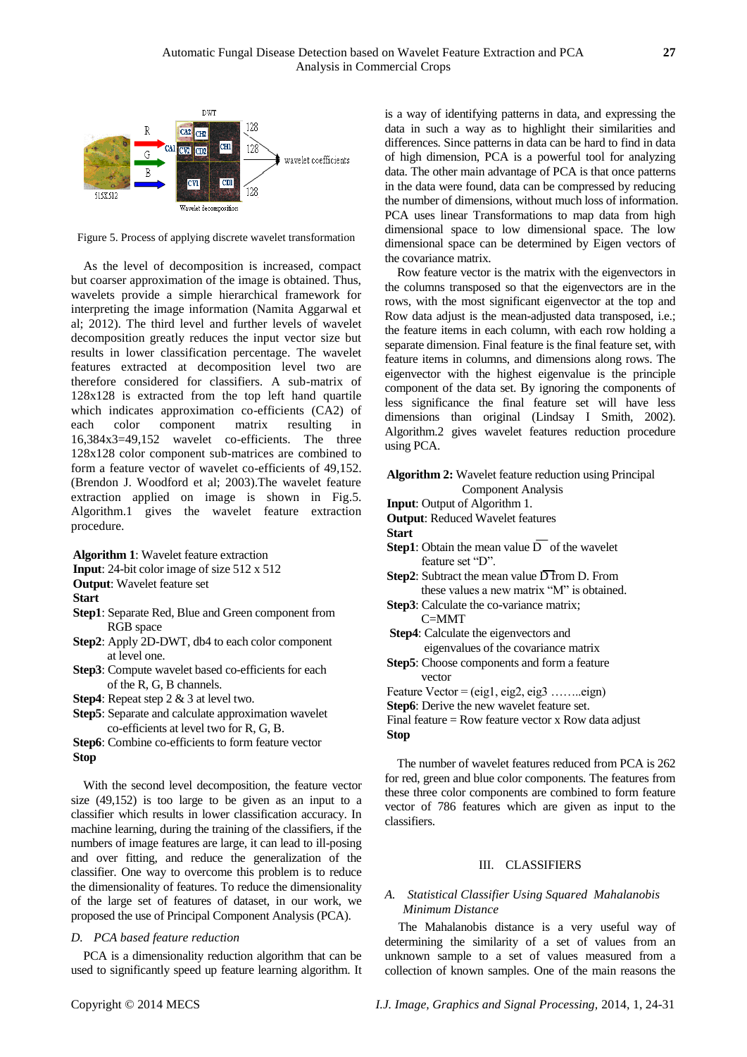

Figure 5. Process of applying discrete wavelet transformation

As the level of decomposition is increased, compact but coarser approximation of the image is obtained. Thus, wavelets provide a simple hierarchical framework for interpreting the image information (Namita Aggarwal et al; 2012). The third level and further levels of wavelet decomposition greatly reduces the input vector size but results in lower classification percentage. The wavelet features extracted at decomposition level two are therefore considered for classifiers. A sub-matrix of 128x128 is extracted from the top left hand quartile which indicates approximation co-efficients (CA2) of each color component matrix resulting in 16,384x3=49,152 wavelet co-efficients. The three 128x128 color component sub-matrices are combined to form a feature vector of wavelet co-efficients of 49,152. (Brendon J. Woodford et al; 2003).The wavelet feature extraction applied on image is shown in Fig.5. Algorithm.1 gives the wavelet feature extraction procedure.

**Algorithm 1**: Wavelet feature extraction

**Input**: 24-bit color image of size 512 x 512

**Output**: Wavelet feature set

**Start**

- **Step1**: Separate Red, Blue and Green component from RGB space
- **Step2**: Apply 2D-DWT, db4 to each color component at level one.
- **Step3**: Compute wavelet based co-efficients for each of the R, G, B channels.
- **Step4**: Repeat step 2 & 3 at level two.

**Step5**: Separate and calculate approximation wavelet co-efficients at level two for R, G, B.

**Step6**: Combine co-efficients to form feature vector **Stop**

With the second level decomposition, the feature vector size (49,152) is too large to be given as an input to a classifier which results in lower classification accuracy. In machine learning, during the training of the classifiers, if the numbers of image features are large, it can lead to ill-posing and over fitting, and reduce the generalization of the classifier. One way to overcome this problem is to reduce the dimensionality of features. To reduce the dimensionality of the large set of features of dataset, in our work, we proposed the use of Principal Component Analysis (PCA).

## *D. PCA based feature reduction*

PCA is a dimensionality reduction algorithm that can be used to significantly speed up feature learning algorithm. It is a way of identifying patterns in data, and expressing the data in such a way as to highlight their similarities and differences. Since patterns in data can be hard to find in data of high dimension, PCA is a powerful tool for analyzing data. The other main advantage of PCA is that once patterns in the data were found, data can be compressed by reducing the number of dimensions, without much loss of information. PCA uses linear Transformations to map data from high dimensional space to low dimensional space. The low dimensional space can be determined by Eigen vectors of the covariance matrix.

Row feature vector is the matrix with the eigenvectors in the columns transposed so that the eigenvectors are in the rows, with the most significant eigenvector at the top and Row data adjust is the mean-adjusted data transposed, i.e.; the feature items in each column, with each row holding a separate dimension. Final feature is the final feature set, with feature items in columns, and dimensions along rows. The eigenvector with the highest eigenvalue is the principle component of the data set. By ignoring the components of less significance the final feature set will have less dimensions than original (Lindsay I Smith, 2002). Algorithm.2 gives wavelet features reduction procedure using PCA.

## **Algorithm 2:** Wavelet feature reduction using Principal Component Analysis

**Input**: Output of Algorithm 1.

**Output**: Reduced Wavelet features

**Start**

- **Step1**: Obtain the mean value  $\overline{D}$  of the wavelet feature set "D".
- **Step2**: Subtract the mean value  $\overline{D}$  from D. From these values a new matrix "M" is obtained.
- **Step3**: Calculate the co-variance matrix; C=MMT
- **Step4**: Calculate the eigenvectors and
- eigenvalues of the covariance matrix
- **Step5**: Choose components and form a feature vector
- Feature Vector = (eig1, eig2, eig3 ........eign)
- **Step6**: Derive the new wavelet feature set.

Final feature  $=$  Row feature vector x Row data adjust **Stop**

The number of wavelet features reduced from PCA is 262 for red, green and blue color components. The features from these three color components are combined to form feature vector of 786 features which are given as input to the classifiers.

#### III. CLASSIFIERS

# *A. Statistical Classifier Using Squared Mahalanobis Minimum Distance*

The Mahalanobis distance is a very useful way of determining the similarity of a set of values from an unknown sample to a set of values measured from a collection of known samples. One of the main reasons the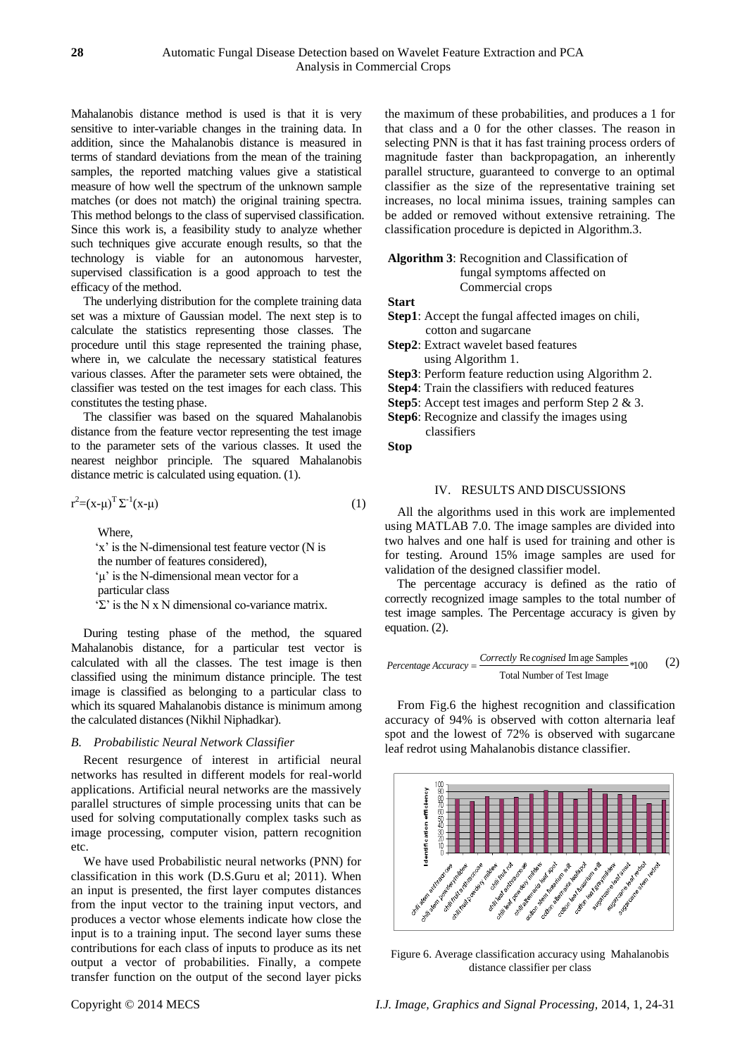Mahalanobis distance method is used is that it is very sensitive to inter-variable changes in the training data. In addition, since the Mahalanobis distance is measured in terms of standard deviations from the mean of the training samples, the reported matching values give a statistical measure of how well the spectrum of the unknown sample matches (or does not match) the original training spectra. This method belongs to the class of supervised classification. Since this work is, a feasibility study to analyze whether such techniques give accurate enough results, so that the technology is viable for an autonomous harvester, supervised classification is a good approach to test the efficacy of the method.

The underlying distribution for the complete training data set was a mixture of Gaussian model. The next step is to calculate the statistics representing those classes. The procedure until this stage represented the training phase, where in, we calculate the necessary statistical features various classes. After the parameter sets were obtained, the classifier was tested on the test images for each class. This constitutes the testing phase.

The classifier was based on the squared Mahalanobis distance from the feature vector representing the test image to the parameter sets of the various classes. It used the nearest neighbor principle. The squared Mahalanobis distance metric is calculated using equation. (1).

$$
r^2 = (x - \mu)^T \Sigma^{-1} (x - \mu) \tag{1}
$$

Where,

'x' is the N-dimensional test feature vector (N is the number of features considered), 'μ' is the N-dimensional mean vector for a particular class "Σ" is the N x N dimensional co-variance matrix.

During testing phase of the method, the squared Mahalanobis distance, for a particular test vector is calculated with all the classes. The test image is then classified using the minimum distance principle. The test image is classified as belonging to a particular class to which its squared Mahalanobis distance is minimum among the calculated distances (Nikhil Niphadkar).

## *B. Probabilistic Neural Network Classifier*

Recent resurgence of interest in artificial neural networks has resulted in different models for real-world applications. Artificial neural networks are the massively parallel structures of simple processing units that can be used for solving computationally complex tasks such as image processing, computer vision, pattern recognition etc.

We have used Probabilistic neural networks (PNN) for classification in this work (D.S.Guru et al; 2011). When an input is presented, the first layer computes distances from the input vector to the training input vectors, and produces a vector whose elements indicate how close the input is to a training input. The second layer sums these contributions for each class of inputs to produce as its net output a vector of probabilities. Finally, a compete transfer function on the output of the second layer picks the maximum of these probabilities, and produces a 1 for that class and a 0 for the other classes. The reason in selecting PNN is that it has fast training process orders of magnitude faster than backpropagation, an inherently parallel structure, guaranteed to converge to an optimal classifier as the size of the representative training set increases, no local minima issues, training samples can be added or removed without extensive retraining. The classification procedure is depicted in Algorithm.3.

# **Algorithm 3**: Recognition and Classification of fungal symptoms affected on Commercial crops

**Start**

- **Step1**: Accept the fungal affected images on chili, cotton and sugarcane
- **Step2**: Extract wavelet based features using Algorithm 1.

**Step3**: Perform feature reduction using Algorithm 2.

- **Step4**: Train the classifiers with reduced features
- **Step5**: Accept test images and perform Step 2 & 3.

**Step6**: Recognize and classify the images using classifiers

**Stop**

# IV. RESULTS AND DISCUSSIONS

All the algorithms used in this work are implemented using MATLAB 7.0. The image samples are divided into two halves and one half is used for training and other is for testing. Around 15% image samples are used for validation of the designed classifier model.

The percentage accuracy is defined as the ratio of correctly recognized image samples to the total number of test image samples. The Percentage accuracy is given by equation. (2).

$$
Percentage Accuracy = \frac{Correcty \text{ Re cognised Im age Samples}}{\text{Total Number of Test Image}} *100
$$
 (2)

From Fig.6 the highest recognition and classification accuracy of 94% is observed with cotton alternaria leaf spot and the lowest of 72% is observed with sugarcane leaf redrot using Mahalanobis distance classifier.



Figure 6. Average classification accuracy using Mahalanobis distance classifier per class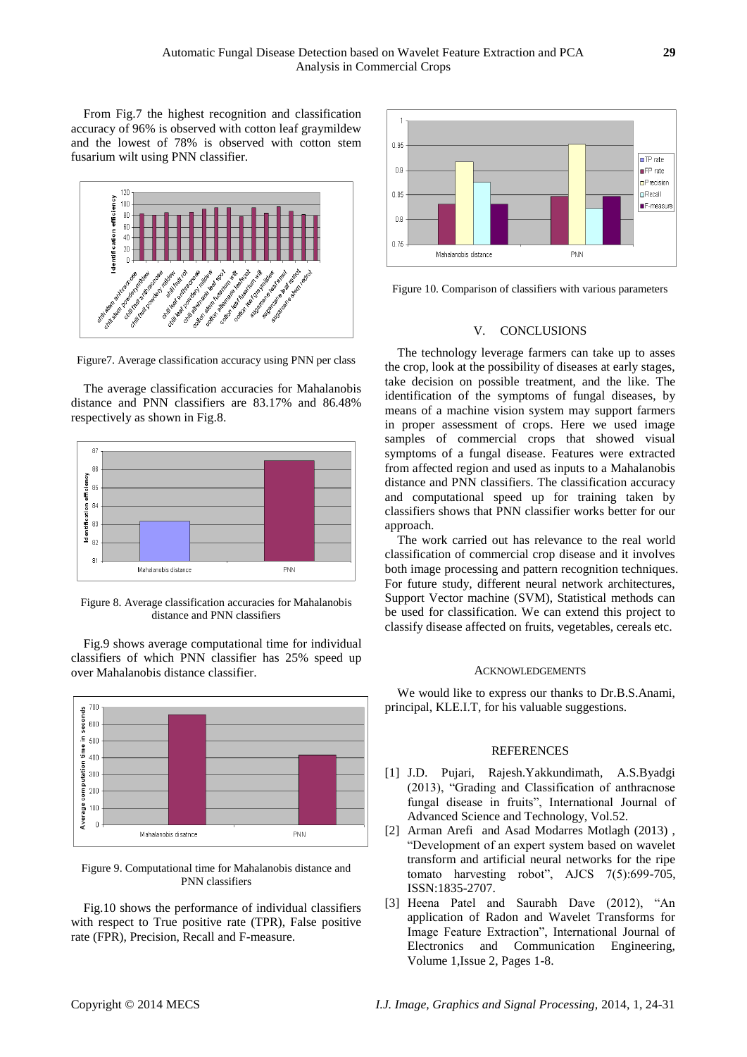From Fig.7 the highest recognition and classification accuracy of 96% is observed with cotton leaf graymildew and the lowest of 78% is observed with cotton stem fusarium wilt using PNN classifier.



Figure7. Average classification accuracy using PNN per class

The average classification accuracies for Mahalanobis distance and PNN classifiers are 83.17% and 86.48% respectively as shown in Fig.8.



Figure 8. Average classification accuracies for Mahalanobis distance and PNN classifiers

Fig.9 shows average computational time for individual classifiers of which PNN classifier has 25% speed up over Mahalanobis distance classifier.



Figure 9. Computational time for Mahalanobis distance and PNN classifiers

Fig.10 shows the performance of individual classifiers with respect to True positive rate (TPR), False positive rate (FPR), Precision, Recall and F-measure.



Figure 10. Comparison of classifiers with various parameters

#### V. CONCLUSIONS

The technology leverage farmers can take up to asses the crop, look at the possibility of diseases at early stages, take decision on possible treatment, and the like. The identification of the symptoms of fungal diseases, by means of a machine vision system may support farmers in proper assessment of crops. Here we used image samples of commercial crops that showed visual symptoms of a fungal disease. Features were extracted from affected region and used as inputs to a Mahalanobis distance and PNN classifiers. The classification accuracy and computational speed up for training taken by classifiers shows that PNN classifier works better for our approach.

The work carried out has relevance to the real world classification of commercial crop disease and it involves both image processing and pattern recognition techniques. For future study, different neural network architectures, Support Vector machine (SVM), Statistical methods can be used for classification. We can extend this project to classify disease affected on fruits, vegetables, cereals etc.

#### ACKNOWLEDGEMENTS

We would like to express our thanks to Dr.B.S.Anami, principal, KLE.I.T, for his valuable suggestions.

# **REFERENCES**

- [1] J.D. Pujari, Rajesh.Yakkundimath, A.S.Byadgi (2013), "Grading and Classification of anthracnose fungal disease in fruits", International Journal of Advanced Science and Technology, Vol.52.
- [2] Arman Arefi and Asad Modarres Motlagh (2013) , "Development of an expert system based on wavelet transform and artificial neural networks for the ripe tomato harvesting robot", AJCS 7(5):699-705, ISSN:1835-2707.
- [3] Heena Patel and Saurabh Dave (2012), "An application of Radon and Wavelet Transforms for Image Feature Extraction", International Journal of Electronics and Communication Engineering, Volume 1,Issue 2, Pages 1-8.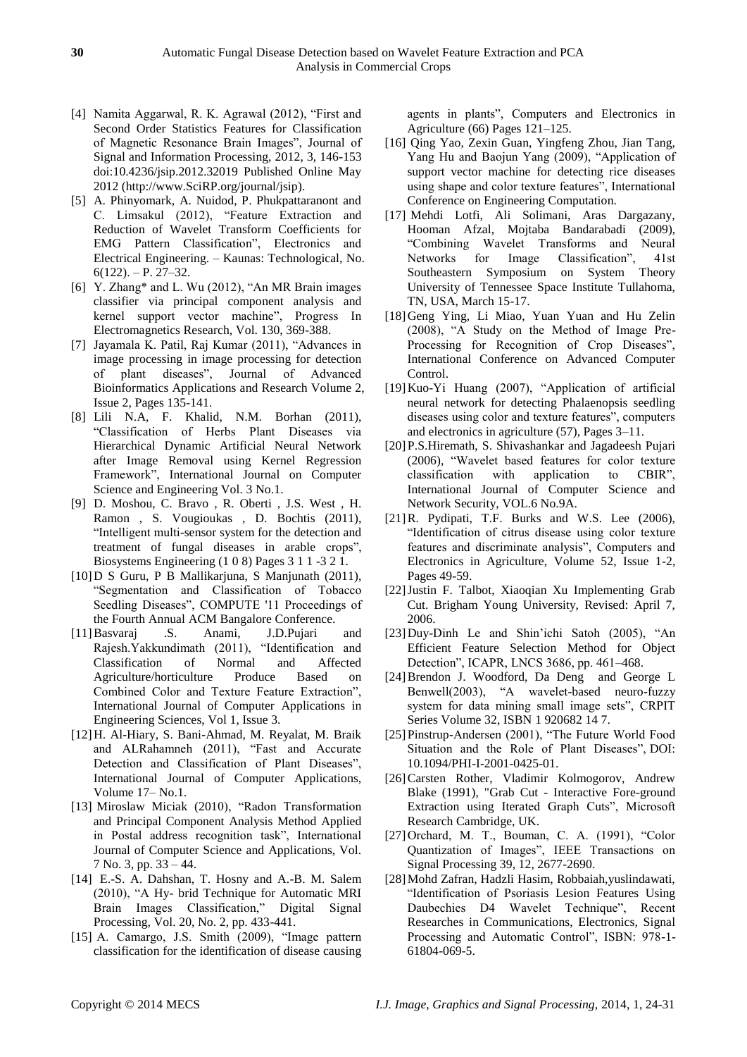- [4] Namita Aggarwal, R. K. Agrawal (2012), "First and Second Order Statistics Features for Classification of Magnetic Resonance Brain Images", Journal of Signal and Information Processing, 2012, 3, 146-153 doi:10.4236/jsip.2012.32019 Published Online May 2012 [\(http://www.SciRP.org/journal/jsip\)](http://www.scirp.org/journal/jsip).
- [5] A. Phinyomark, A. Nuidod, P. Phukpattaranont and C. Limsakul (2012), "Feature Extraction and Reduction of Wavelet Transform Coefficients for EMG Pattern Classification", Electronics and Electrical Engineering. – Kaunas: Technological, No.  $6(122)$ . – P. 27–32.
- [6] Y. Zhang\* and L. Wu (2012), "An MR Brain images classifier via principal component analysis and kernel support vector machine", Progress In Electromagnetics Research, Vol. 130, 369-388.
- [7] Jayamala K. Patil, Raj Kumar (2011), "Advances in image processing in image processing for detection of plant diseases", Journal of Advanced Bioinformatics Applications and Research Volume 2, Issue 2, Pages 135-141.
- [8] Lili N.A, F. Khalid, N.M. Borhan (2011), "Classification of Herbs Plant Diseases via Hierarchical Dynamic Artificial Neural Network after Image Removal using Kernel Regression Framework", International Journal on Computer Science and Engineering Vol. 3 No.1.
- [9] D. Moshou, C. Bravo , R. Oberti , J.S. West , H. Ramon , S. Vougioukas , D. Bochtis (2011), "Intelligent multi-sensor system for the detection and treatment of fungal diseases in arable crops", Biosystems Engineering (1 0 8) Pages 3 1 1 -3 2 1.
- [10]D S Guru, P B Mallikarjuna, S Manjunath (2011), "Segmentation and Classification of Tobacco Seedling Diseases", COMPUTE '11 Proceedings of the Fourth Annual ACM Bangalore Conference.
- [11]Basvaraj .S. Anami, J.D.Pujari and Rajesh.Yakkundimath (2011), "Identification and Classification of Normal and Affected Agriculture/horticulture Produce Based on Combined Color and Texture Feature Extraction", International Journal of Computer Applications in Engineering Sciences, Vol 1, Issue 3.
- [12]H. Al-Hiary, S. Bani-Ahmad, M. Reyalat, M. Braik and ALRahamneh (2011), "Fast and Accurate Detection and Classification of Plant Diseases", International Journal of Computer Applications, Volume 17– No.1.
- [13] Miroslaw Miciak (2010), "Radon Transformation and Principal Component Analysis Method Applied in Postal address recognition task", International Journal of Computer Science and Applications, Vol. 7 No. 3, pp. 33 – 44.
- [14] E.-S. A. Dahshan, T. Hosny and A.-B. M. Salem (2010), "A Hy- brid Technique for Automatic MRI Brain Images Classification," Digital Signal Processing, Vol. 20, No. 2, pp. 433-441.
- [15] A. Camargo, J.S. Smith (2009), "Image pattern classification for the identification of disease causing

agents in plants", Computers and Electronics in Agriculture (66) Pages 121–125.

- [16] Qing Yao, Zexin Guan, Yingfeng Zhou, Jian Tang, Yang Hu and Baojun Yang (2009), "Application of support vector machine for detecting rice diseases using shape and color texture features", International Conference on Engineering Computation.
- [17] Mehdi Lotfi, Ali Solimani, Aras Dargazany, Hooman Afzal, Mojtaba Bandarabadi (2009), "Combining Wavelet Transforms and Neural Networks for Image Classification", 41st Southeastern Symposium on System Theory University of Tennessee Space Institute Tullahoma, TN, USA, March 15-17.
- [18]Geng Ying, Li Miao, Yuan Yuan and Hu Zelin (2008), "A Study on the Method of Image Pre-Processing for Recognition of Crop Diseases", International Conference on Advanced Computer Control.
- [19]Kuo-Yi Huang (2007), "Application of artificial neural network for detecting Phalaenopsis seedling diseases using color and texture features", computers and electronics in agriculture (57), Pages 3–11.
- [20]P.S.Hiremath, S. Shivashankar and Jagadeesh Pujari (2006), "Wavelet based features for color texture classification with application to CBIR", International Journal of Computer Science and Network Security, VOL.6 No.9A.
- [21] R. Pydipati, T.F. Burks and W.S. Lee (2006), "Identification of citrus disease using color texture features and discriminate analysis", Computers and Electronics in Agriculture, Volume 52, Issue 1-2, Pages 49-59.
- [22]Justin F. Talbot, Xiaoqian Xu Implementing Grab Cut. Brigham Young University, Revised: April 7, 2006.
- [23]Duy-Dinh Le and Shin"ichi Satoh (2005), "An Efficient Feature Selection Method for Object Detection", ICAPR, LNCS 3686, pp. 461–468.
- [24]Brendon J. Woodford, Da Deng and George L Benwell(2003), "A wavelet-based neuro-fuzzy system for data mining small image sets", CRPIT Series Volume 32, ISBN 1 920682 14 7.
- [25]Pinstrup-Andersen (2001), "The Future World Food Situation and the Role of Plant Diseases", DOI: 10.1094/PHI-I-2001-0425-01.
- [26]Carsten Rother, Vladimir Kolmogorov, Andrew Blake (1991), "Grab Cut - Interactive Fore-ground Extraction using Iterated Graph Cuts", Microsoft Research Cambridge, UK.
- [27]Orchard, M. T., Bouman, C. A. (1991), "Color Quantization of Images", IEEE Transactions on Signal Processing 39, 12, 2677-2690.
- [28]Mohd Zafran, Hadzli Hasim, Robbaiah,yuslindawati, "Identification of Psoriasis Lesion Features Using Daubechies D4 Wavelet Technique", Recent Researches in Communications, Electronics, Signal Processing and Automatic Control", ISBN: 978-1- 61804-069-5.